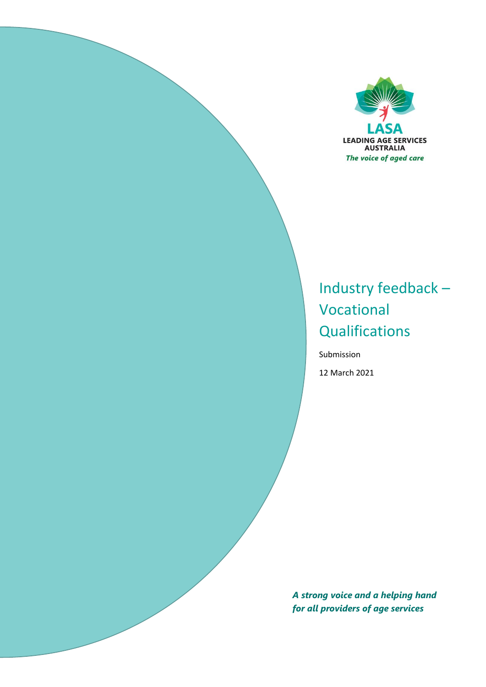

# Industry feedback – Vocational **Qualifications**

Submission 12 March 2021

*A strong voice and a helping hand for all providers of age services*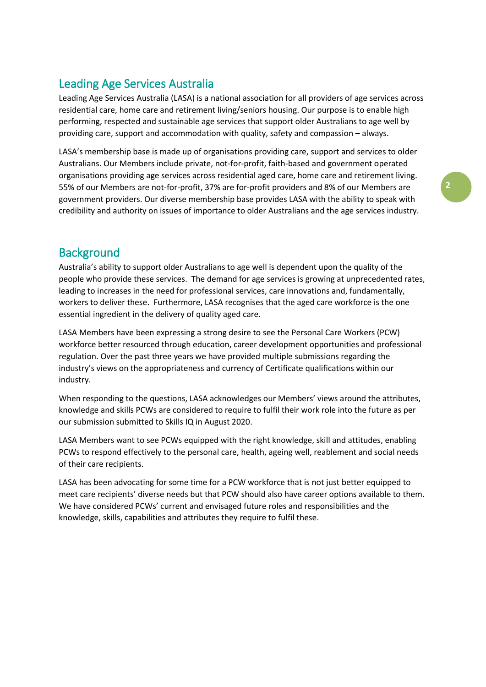## Leading Age Services Australia

Leading Age Services Australia (LASA) is a national association for all providers of age services across residential care, home care and retirement living/seniors housing. Our purpose is to enable high performing, respected and sustainable age services that support older Australians to age well by providing care, support and accommodation with quality, safety and compassion – always.

LASA's membership base is made up of organisations providing care, support and services to older Australians. Our Members include private, not-for-profit, faith-based and government operated organisations providing age services across residential aged care, home care and retirement living. 55% of our Members are not-for-profit, 37% are for-profit providers and 8% of our Members are government providers. Our diverse membership base provides LASA with the ability to speak with credibility and authority on issues of importance to older Australians and the age services industry.

### **Background**

Australia's ability to support older Australians to age well is dependent upon the quality of the people who provide these services. The demand for age services is growing at unprecedented rates, leading to increases in the need for professional services, care innovations and, fundamentally, workers to deliver these. Furthermore, LASA recognises that the aged care workforce is the one essential ingredient in the delivery of quality aged care.

LASA Members have been expressing a strong desire to see the Personal Care Workers (PCW) workforce better resourced through education, career development opportunities and professional regulation. Over the past three years we have provided multiple submissions regarding the industry's views on the appropriateness and currency of Certificate qualifications within our industry.

When responding to the questions, LASA acknowledges our Members' views around the attributes, knowledge and skills PCWs are considered to require to fulfil their work role into the future as per our submission submitted to Skills IQ in August 2020.

LASA Members want to see PCWs equipped with the right knowledge, skill and attitudes, enabling PCWs to respond effectively to the personal care, health, ageing well, reablement and social needs of their care recipients.

LASA has been advocating for some time for a PCW workforce that is not just better equipped to meet care recipients' diverse needs but that PCW should also have career options available to them. We have considered PCWs' current and envisaged future roles and responsibilities and the knowledge, skills, capabilities and attributes they require to fulfil these.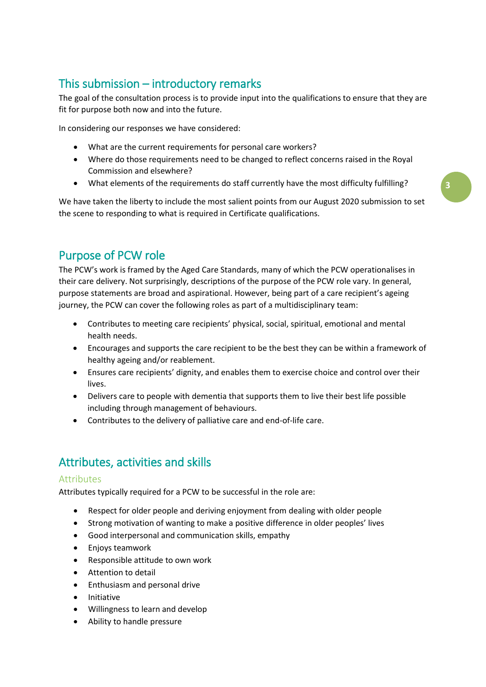# This submission – introductory remarks

The goal of the consultation process is to provide input into the qualifications to ensure that they are fit for purpose both now and into the future.

In considering our responses we have considered:

- What are the current requirements for personal care workers?
- Where do those requirements need to be changed to reflect concerns raised in the Royal Commission and elsewhere?
- What elements of the requirements do staff currently have the most difficulty fulfilling?

**3**

We have taken the liberty to include the most salient points from our August 2020 submission to set the scene to responding to what is required in Certificate qualifications.

### Purpose of PCW role

The PCW's work is framed by the Aged Care Standards, many of which the PCW operationalises in their care delivery. Not surprisingly, descriptions of the purpose of the PCW role vary. In general, purpose statements are broad and aspirational. However, being part of a care recipient's ageing journey, the PCW can cover the following roles as part of a multidisciplinary team:

- Contributes to meeting care recipients' physical, social, spiritual, emotional and mental health needs.
- Encourages and supports the care recipient to be the best they can be within a framework of healthy ageing and/or reablement.
- Ensures care recipients' dignity, and enables them to exercise choice and control over their lives.
- Delivers care to people with dementia that supports them to live their best life possible including through management of behaviours.
- Contributes to the delivery of palliative care and end-of-life care.

# Attributes, activities and skills

#### Attributes

Attributes typically required for a PCW to be successful in the role are:

- Respect for older people and deriving enjoyment from dealing with older people
- Strong motivation of wanting to make a positive difference in older peoples' lives
- Good interpersonal and communication skills, empathy
- Enjoys teamwork
- Responsible attitude to own work
- Attention to detail
- Enthusiasm and personal drive
- Initiative
- Willingness to learn and develop
- Ability to handle pressure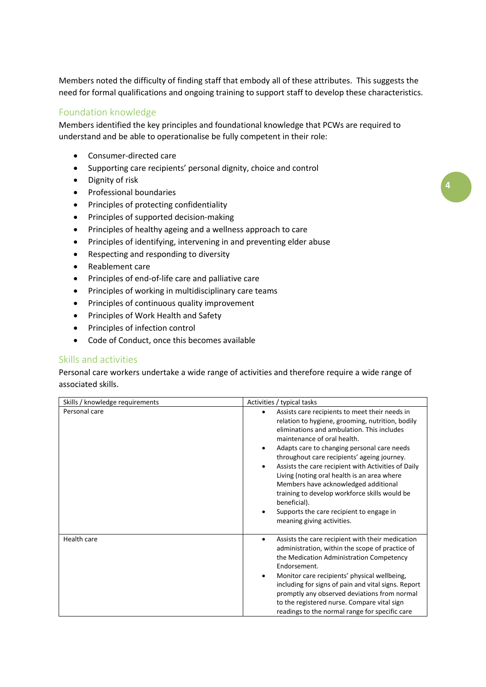Members noted the difficulty of finding staff that embody all of these attributes. This suggests the need for formal qualifications and ongoing training to support staff to develop these characteristics.

#### Foundation knowledge

Members identified the key principles and foundational knowledge that PCWs are required to understand and be able to operationalise be fully competent in their role:

- Consumer-directed care
- Supporting care recipients' personal dignity, choice and control
- Dignity of risk
- **•** Professional boundaries
- Principles of protecting confidentiality
- Principles of supported decision-making
- Principles of healthy ageing and a wellness approach to care
- Principles of identifying, intervening in and preventing elder abuse
- Respecting and responding to diversity
- Reablement care
- Principles of end-of-life care and palliative care
- Principles of working in multidisciplinary care teams
- Principles of continuous quality improvement
- Principles of Work Health and Safety
- Principles of infection control
- Code of Conduct, once this becomes available

#### Skills and activities

Personal care workers undertake a wide range of activities and therefore require a wide range of associated skills.

| Skills / knowledge requirements | Activities / typical tasks                                                                                                                                                                                                                                                                                                                                                                                                                                                                                                                                             |
|---------------------------------|------------------------------------------------------------------------------------------------------------------------------------------------------------------------------------------------------------------------------------------------------------------------------------------------------------------------------------------------------------------------------------------------------------------------------------------------------------------------------------------------------------------------------------------------------------------------|
| Personal care                   | Assists care recipients to meet their needs in<br>relation to hygiene, grooming, nutrition, bodily<br>eliminations and ambulation. This includes<br>maintenance of oral health.<br>Adapts care to changing personal care needs<br>throughout care recipients' ageing journey.<br>Assists the care recipient with Activities of Daily<br>Living (noting oral health is an area where<br>Members have acknowledged additional<br>training to develop workforce skills would be<br>beneficial).<br>Supports the care recipient to engage in<br>meaning giving activities. |
| Health care                     | Assists the care recipient with their medication<br>administration, within the scope of practice of<br>the Medication Administration Competency<br>Endorsement.<br>Monitor care recipients' physical wellbeing,<br>including for signs of pain and vital signs. Report<br>promptly any observed deviations from normal<br>to the registered nurse. Compare vital sign<br>readings to the normal range for specific care                                                                                                                                                |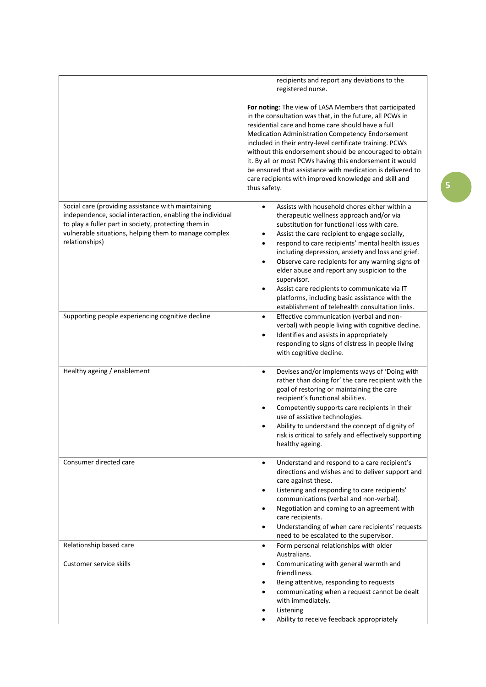|                                                                                                                                                                                                                                                    | recipients and report any deviations to the<br>registered nurse.                                                                                                                                                                                                                                                                                                                                                                                                                                                                                                                                                      |
|----------------------------------------------------------------------------------------------------------------------------------------------------------------------------------------------------------------------------------------------------|-----------------------------------------------------------------------------------------------------------------------------------------------------------------------------------------------------------------------------------------------------------------------------------------------------------------------------------------------------------------------------------------------------------------------------------------------------------------------------------------------------------------------------------------------------------------------------------------------------------------------|
|                                                                                                                                                                                                                                                    | For noting: The view of LASA Members that participated<br>in the consultation was that, in the future, all PCWs in<br>residential care and home care should have a full<br>Medication Administration Competency Endorsement<br>included in their entry-level certificate training. PCWs<br>without this endorsement should be encouraged to obtain<br>it. By all or most PCWs having this endorsement it would<br>be ensured that assistance with medication is delivered to<br>care recipients with improved knowledge and skill and<br>thus safety.                                                                 |
| Social care (providing assistance with maintaining<br>independence, social interaction, enabling the individual<br>to play a fuller part in society, protecting them in<br>vulnerable situations, helping them to manage complex<br>relationships) | Assists with household chores either within a<br>$\bullet$<br>therapeutic wellness approach and/or via<br>substitution for functional loss with care.<br>Assist the care recipient to engage socially,<br>٠<br>respond to care recipients' mental health issues<br>$\bullet$<br>including depression, anxiety and loss and grief.<br>Observe care recipients for any warning signs of<br>$\bullet$<br>elder abuse and report any suspicion to the<br>supervisor.<br>Assist care recipients to communicate via IT<br>platforms, including basic assistance with the<br>establishment of telehealth consultation links. |
| Supporting people experiencing cognitive decline                                                                                                                                                                                                   | Effective communication (verbal and non-<br>$\bullet$<br>verbal) with people living with cognitive decline.<br>Identifies and assists in appropriately<br>$\bullet$<br>responding to signs of distress in people living<br>with cognitive decline.                                                                                                                                                                                                                                                                                                                                                                    |
| Healthy ageing / enablement                                                                                                                                                                                                                        | Devises and/or implements ways of 'Doing with<br>$\bullet$<br>rather than doing for' the care recipient with the<br>goal of restoring or maintaining the care<br>recipient's functional abilities.<br>Competently supports care recipients in their<br>$\bullet$<br>use of assistive technologies.<br>Ability to understand the concept of dignity of<br>risk is critical to safely and effectively supporting<br>healthy ageing.                                                                                                                                                                                     |
| Consumer directed care                                                                                                                                                                                                                             | Understand and respond to a care recipient's<br>$\bullet$<br>directions and wishes and to deliver support and<br>care against these.<br>Listening and responding to care recipients'<br>$\bullet$<br>communications (verbal and non-verbal).<br>Negotiation and coming to an agreement with<br>care recipients.<br>Understanding of when care recipients' requests<br>$\bullet$<br>need to be escalated to the supervisor.                                                                                                                                                                                            |
| Relationship based care                                                                                                                                                                                                                            | Form personal relationships with older<br>$\bullet$<br>Australians.                                                                                                                                                                                                                                                                                                                                                                                                                                                                                                                                                   |
| Customer service skills                                                                                                                                                                                                                            | Communicating with general warmth and<br>$\bullet$<br>friendliness.<br>Being attentive, responding to requests<br>communicating when a request cannot be dealt<br>with immediately.<br>Listening<br>Ability to receive feedback appropriately                                                                                                                                                                                                                                                                                                                                                                         |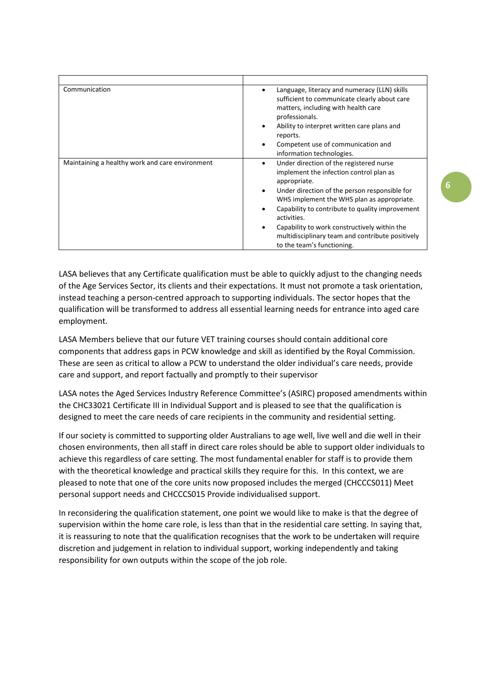| Communication                                   | Language, literacy and numeracy (LLN) skills<br>sufficient to communicate clearly about care<br>matters, including with health care<br>professionals.<br>Ability to interpret written care plans and<br>reports.<br>Competent use of communication and<br>information technologies.                                                                                                                        |
|-------------------------------------------------|------------------------------------------------------------------------------------------------------------------------------------------------------------------------------------------------------------------------------------------------------------------------------------------------------------------------------------------------------------------------------------------------------------|
| Maintaining a healthy work and care environment | Under direction of the registered nurse<br>implement the infection control plan as<br>appropriate.<br>Under direction of the person responsible for<br>٠<br>WHS implement the WHS plan as appropriate.<br>Capability to contribute to quality improvement<br>activities.<br>Capability to work constructively within the<br>multidisciplinary team and contribute positively<br>to the team's functioning. |

LASA believes that any Certificate qualification must be able to quickly adjust to the changing needs of the Age Services Sector, its clients and their expectations. It must not promote a task orientation, instead teaching a person-centred approach to supporting individuals. The sector hopes that the qualification will be transformed to address all essential learning needs for entrance into aged care employment.

LASA Members believe that our future VET training courses should contain additional core components that address gaps in PCW knowledge and skill as identified by the Royal Commission. These are seen as critical to allow a PCW to understand the older individual's care needs, provide care and support, and report factually and promptly to their supervisor

LASA notes the Aged Services Industry Reference Committee's (ASIRC) proposed amendments within the CHC33021 Certificate III in Individual Support and is pleased to see that the qualification is designed to meet the care needs of care recipients in the community and residential setting.

If our society is committed to supporting older Australians to age well, live well and die well in their chosen environments, then all staff in direct care roles should be able to support older individuals to achieve this regardless of care setting. The most fundamental enabler for staff is to provide them with the theoretical knowledge and practical skills they require for this. In this context, we are pleased to note that one of the core units now proposed includes the merged (CHCCCS011) Meet personal support needs and CHCCCS015 Provide individualised support.

In reconsidering the qualification statement, one point we would like to make is that the degree of supervision within the home care role, is less than that in the residential care setting. In saying that, it is reassuring to note that the qualification recognises that the work to be undertaken will require discretion and judgement in relation to individual support, working independently and taking responsibility for own outputs within the scope of the job role.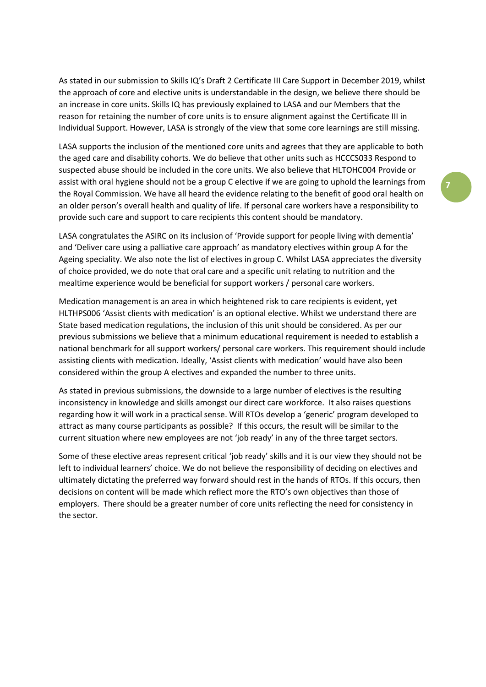As stated in our submission to Skills IQ's Draft 2 Certificate III Care Support in December 2019, whilst the approach of core and elective units is understandable in the design, we believe there should be an increase in core units. Skills IQ has previously explained to LASA and our Members that the reason for retaining the number of core units is to ensure alignment against the Certificate III in Individual Support. However, LASA is strongly of the view that some core learnings are still missing.

LASA supports the inclusion of the mentioned core units and agrees that they are applicable to both the aged care and disability cohorts. We do believe that other units such as HCCCS033 Respond to suspected abuse should be included in the core units. We also believe that HLTOHC004 Provide or assist with oral hygiene should not be a group C elective if we are going to uphold the learnings from the Royal Commission. We have all heard the evidence relating to the benefit of good oral health on an older person's overall health and quality of life. If personal care workers have a responsibility to provide such care and support to care recipients this content should be mandatory.

LASA congratulates the ASIRC on its inclusion of 'Provide support for people living with dementia' and 'Deliver care using a palliative care approach' as mandatory electives within group A for the Ageing speciality. We also note the list of electives in group C. Whilst LASA appreciates the diversity of choice provided, we do note that oral care and a specific unit relating to nutrition and the mealtime experience would be beneficial for support workers / personal care workers.

Medication management is an area in which heightened risk to care recipients is evident, yet HLTHPS006 'Assist clients with medication' is an optional elective. Whilst we understand there are State based medication regulations, the inclusion of this unit should be considered. As per our previous submissions we believe that a minimum educational requirement is needed to establish a national benchmark for all support workers/ personal care workers. This requirement should include assisting clients with medication. Ideally, 'Assist clients with medication' would have also been considered within the group A electives and expanded the number to three units.

As stated in previous submissions, the downside to a large number of electives is the resulting inconsistency in knowledge and skills amongst our direct care workforce. It also raises questions regarding how it will work in a practical sense. Will RTOs develop a 'generic' program developed to attract as many course participants as possible? If this occurs, the result will be similar to the current situation where new employees are not 'job ready' in any of the three target sectors.

Some of these elective areas represent critical 'job ready' skills and it is our view they should not be left to individual learners' choice. We do not believe the responsibility of deciding on electives and ultimately dictating the preferred way forward should rest in the hands of RTOs. If this occurs, then decisions on content will be made which reflect more the RTO's own objectives than those of employers. There should be a greater number of core units reflecting the need for consistency in the sector.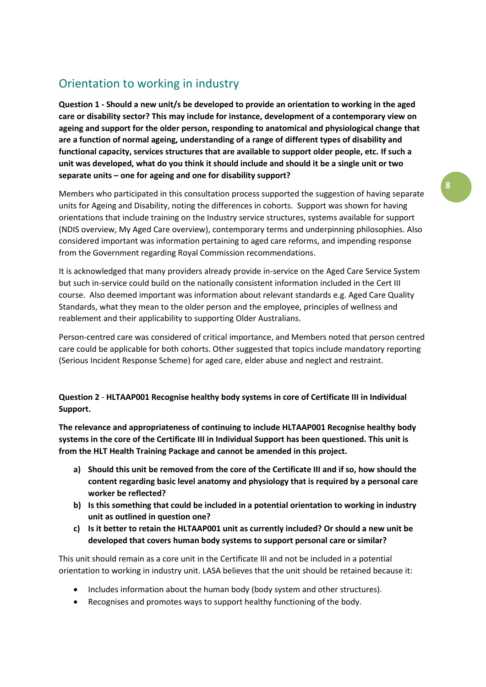## Orientation to working in industry

**Question 1 - Should a new unit/s be developed to provide an orientation to working in the aged care or disability sector? This may include for instance, development of a contemporary view on ageing and support for the older person, responding to anatomical and physiological change that are a function of normal ageing, understanding of a range of different types of disability and functional capacity, services structures that are available to support older people, etc. If such a unit was developed, what do you think it should include and should it be a single unit or two separate units – one for ageing and one for disability support?**

Members who participated in this consultation process supported the suggestion of having separate units for Ageing and Disability, noting the differences in cohorts. Support was shown for having orientations that include training on the Industry service structures, systems available for support (NDIS overview, My Aged Care overview), contemporary terms and underpinning philosophies. Also considered important was information pertaining to aged care reforms, and impending response from the Government regarding Royal Commission recommendations.

It is acknowledged that many providers already provide in-service on the Aged Care Service System but such in-service could build on the nationally consistent information included in the Cert III course. Also deemed important was information about relevant standards e.g. Aged Care Quality Standards, what they mean to the older person and the employee, principles of wellness and reablement and their applicability to supporting Older Australians.

Person-centred care was considered of critical importance, and Members noted that person centred care could be applicable for both cohorts. Other suggested that topics include mandatory reporting (Serious Incident Response Scheme) for aged care, elder abuse and neglect and restraint.

#### **Question 2** - **HLTAAP001 Recognise healthy body systems in core of Certificate III in Individual Support.**

**The relevance and appropriateness of continuing to include HLTAAP001 Recognise healthy body systems in the core of the Certificate III in Individual Support has been questioned. This unit is from the HLT Health Training Package and cannot be amended in this project.**

- **a) Should this unit be removed from the core of the Certificate III and if so, how should the content regarding basic level anatomy and physiology that is required by a personal care worker be reflected?**
- **b) Is this something that could be included in a potential orientation to working in industry unit as outlined in question one?**
- **c) Is it better to retain the HLTAAP001 unit as currently included? Or should a new unit be developed that covers human body systems to support personal care or similar?**

This unit should remain as a core unit in the Certificate III and not be included in a potential orientation to working in industry unit. LASA believes that the unit should be retained because it:

- Includes information about the human body (body system and other structures).
- Recognises and promotes ways to support healthy functioning of the body.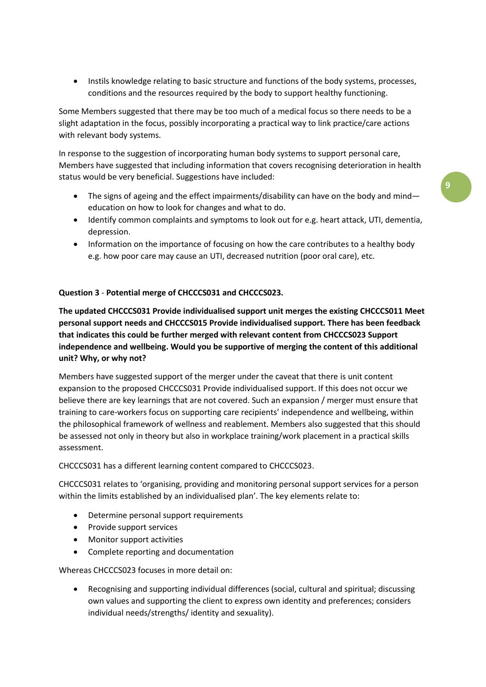• Instils knowledge relating to basic structure and functions of the body systems, processes, conditions and the resources required by the body to support healthy functioning.

Some Members suggested that there may be too much of a medical focus so there needs to be a slight adaptation in the focus, possibly incorporating a practical way to link practice/care actions with relevant body systems.

In response to the suggestion of incorporating human body systems to support personal care, Members have suggested that including information that covers recognising deterioration in health status would be very beneficial. Suggestions have included:

- The signs of ageing and the effect impairments/disability can have on the body and mind education on how to look for changes and what to do.
- Identify common complaints and symptoms to look out for e.g. heart attack, UTI, dementia, depression.
- Information on the importance of focusing on how the care contributes to a healthy body e.g. how poor care may cause an UTI, decreased nutrition (poor oral care), etc.

#### **Question 3** - **Potential merge of CHCCCS031 and CHCCCS023.**

**The updated CHCCCS031 Provide individualised support unit merges the existing CHCCCS011 Meet personal support needs and CHCCCS015 Provide individualised support. There has been feedback that indicates this could be further merged with relevant content from CHCCCS023 Support independence and wellbeing. Would you be supportive of merging the content of this additional unit? Why, or why not?**

Members have suggested support of the merger under the caveat that there is unit content expansion to the proposed CHCCCS031 Provide individualised support. If this does not occur we believe there are key learnings that are not covered. Such an expansion / merger must ensure that training to care-workers focus on supporting care recipients' independence and wellbeing, within the philosophical framework of wellness and reablement. Members also suggested that this should be assessed not only in theory but also in workplace training/work placement in a practical skills assessment.

CHCCCS031 has a different learning content compared to CHCCCS023.

CHCCCS031 relates to 'organising, providing and monitoring personal support services for a person within the limits established by an individualised plan'. The key elements relate to:

- Determine personal support requirements
- Provide support services
- Monitor support activities
- Complete reporting and documentation

Whereas CHCCCS023 focuses in more detail on:

 Recognising and supporting individual differences (social, cultural and spiritual; discussing own values and supporting the client to express own identity and preferences; considers individual needs/strengths/ identity and sexuality).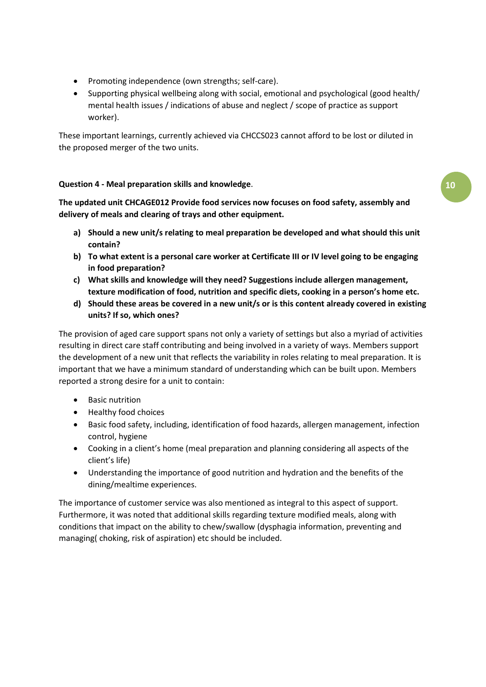- Promoting independence (own strengths; self-care).
- Supporting physical wellbeing along with social, emotional and psychological (good health/ mental health issues / indications of abuse and neglect / scope of practice as support worker).

These important learnings, currently achieved via CHCCS023 cannot afford to be lost or diluted in the proposed merger of the two units.

#### **Question 4 - Meal preparation skills and knowledge**.

**The updated unit CHCAGE012 Provide food services now focuses on food safety, assembly and delivery of meals and clearing of trays and other equipment.** 

- **a) Should a new unit/s relating to meal preparation be developed and what should this unit contain?**
- **b) To what extent is a personal care worker at Certificate III or IV level going to be engaging in food preparation?**
- **c) What skills and knowledge will they need? Suggestions include allergen management, texture modification of food, nutrition and specific diets, cooking in a person's home etc.**
- **d) Should these areas be covered in a new unit/s or is this content already covered in existing units? If so, which ones?**

The provision of aged care support spans not only a variety of settings but also a myriad of activities resulting in direct care staff contributing and being involved in a variety of ways. Members support the development of a new unit that reflects the variability in roles relating to meal preparation. It is important that we have a minimum standard of understanding which can be built upon. Members reported a strong desire for a unit to contain:

- Basic nutrition
- Healthy food choices
- Basic food safety, including, identification of food hazards, allergen management, infection control, hygiene
- Cooking in a client's home (meal preparation and planning considering all aspects of the client's life)
- Understanding the importance of good nutrition and hydration and the benefits of the dining/mealtime experiences.

The importance of customer service was also mentioned as integral to this aspect of support. Furthermore, it was noted that additional skills regarding texture modified meals, along with conditions that impact on the ability to chew/swallow (dysphagia information, preventing and managing( choking, risk of aspiration) etc should be included.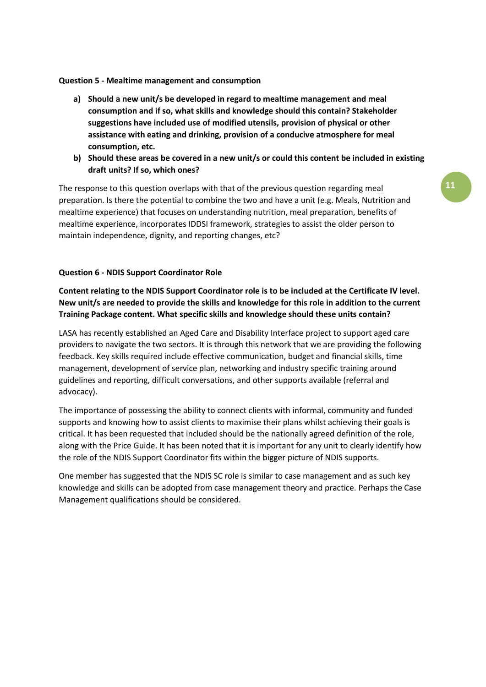#### **Question 5 - Mealtime management and consumption**

- **a) Should a new unit/s be developed in regard to mealtime management and meal consumption and if so, what skills and knowledge should this contain? Stakeholder suggestions have included use of modified utensils, provision of physical or other assistance with eating and drinking, provision of a conducive atmosphere for meal consumption, etc.**
- **b) Should these areas be covered in a new unit/s or could this content be included in existing draft units? If so, which ones?**

The response to this question overlaps with that of the previous question regarding meal preparation. Is there the potential to combine the two and have a unit (e.g. Meals, Nutrition and mealtime experience) that focuses on understanding nutrition, meal preparation, benefits of mealtime experience, incorporates IDDSI framework, strategies to assist the older person to maintain independence, dignity, and reporting changes, etc?

#### **Question 6 - NDIS Support Coordinator Role**

**Content relating to the NDIS Support Coordinator role is to be included at the Certificate IV level. New unit/s are needed to provide the skills and knowledge for this role in addition to the current Training Package content. What specific skills and knowledge should these units contain?**

LASA has recently established an Aged Care and Disability Interface project to support aged care providers to navigate the two sectors. It is through this network that we are providing the following feedback. Key skills required include effective communication, budget and financial skills, time management, development of service plan, networking and industry specific training around guidelines and reporting, difficult conversations, and other supports available (referral and advocacy).

The importance of possessing the ability to connect clients with informal, community and funded supports and knowing how to assist clients to maximise their plans whilst achieving their goals is critical. It has been requested that included should be the nationally agreed definition of the role, along with the Price Guide. It has been noted that it is important for any unit to clearly identify how the role of the NDIS Support Coordinator fits within the bigger picture of NDIS supports.

One member has suggested that the NDIS SC role is similar to case management and as such key knowledge and skills can be adopted from case management theory and practice. Perhaps the Case Management qualifications should be considered.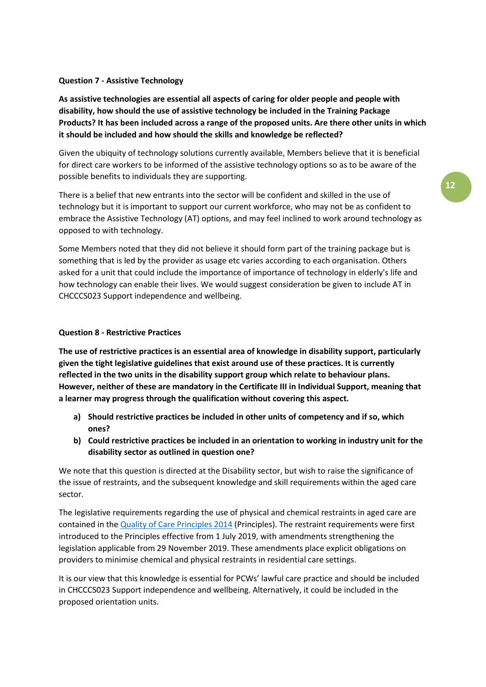#### **Question 7 - Assistive Technology**

**As assistive technologies are essential all aspects of caring for older people and people with disability, how should the use of assistive technology be included in the Training Package Products? It has been included across a range of the proposed units. Are there other units in which it should be included and how should the skills and knowledge be reflected?**

Given the ubiquity of technology solutions currently available, Members believe that it is beneficial for direct care workers to be informed of the assistive technology options so as to be aware of the possible benefits to individuals they are supporting.

There is a belief that new entrants into the sector will be confident and skilled in the use of technology but it is important to support our current workforce, who may not be as confident to embrace the Assistive Technology (AT) options, and may feel inclined to work around technology as opposed to with technology.

Some Members noted that they did not believe it should form part of the training package but is something that is led by the provider as usage etc varies according to each organisation. Others asked for a unit that could include the importance of importance of technology in elderly's life and how technology can enable their lives. We would suggest consideration be given to include AT in CHCCCS023 Support independence and wellbeing.

#### **Question 8 - Restrictive Practices**

**The use of restrictive practices is an essential area of knowledge in disability support, particularly given the tight legislative guidelines that exist around use of these practices. It is currently reflected in the two units in the disability support group which relate to behaviour plans. However, neither of these are mandatory in the Certificate III in Individual Support, meaning that a learner may progress through the qualification without covering this aspect.** 

- **a) Should restrictive practices be included in other units of competency and if so, which ones?**
- **b) Could restrictive practices be included in an orientation to working in industry unit for the disability sector as outlined in question one?**

We note that this question is directed at the Disability sector, but wish to raise the significance of the issue of restraints, and the subsequent knowledge and skill requirements within the aged care sector.

The legislative requirements regarding the use of physical and chemical restraints in aged care are contained in the [Quality of Care Principles 2014](https://www.legislation.gov.au/Details/F2020C00096) (Principles). The restraint requirements were first introduced to the Principles effective from 1 July 2019, with amendments strengthening the legislation applicable from 29 November 2019. These amendments place explicit obligations on providers to minimise chemical and physical restraints in residential care settings.

It is our view that this knowledge is essential for PCWs' lawful care practice and should be included in CHCCCS023 Support independence and wellbeing. Alternatively, it could be included in the proposed orientation units.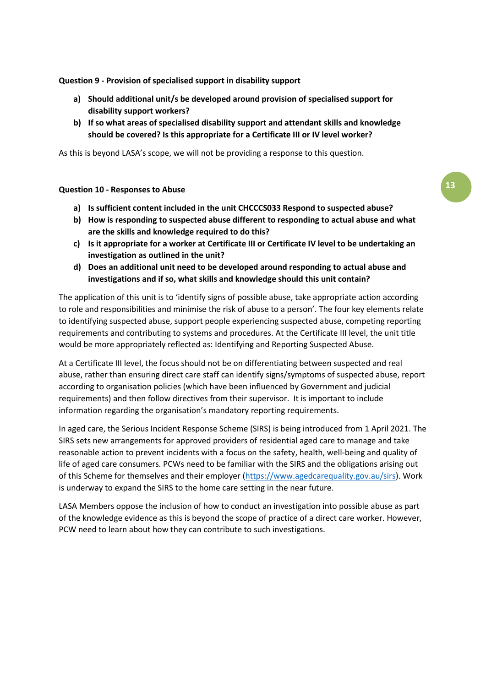#### **Question 9 - Provision of specialised support in disability support**

- **a) Should additional unit/s be developed around provision of specialised support for disability support workers?**
- **b) If so what areas of specialised disability support and attendant skills and knowledge should be covered? Is this appropriate for a Certificate III or IV level worker?**

As this is beyond LASA's scope, we will not be providing a response to this question.

#### **Question 10 - Responses to Abuse**

- **a) Is sufficient content included in the unit CHCCCS033 Respond to suspected abuse?**
- **b) How is responding to suspected abuse different to responding to actual abuse and what are the skills and knowledge required to do this?**
- **c) Is it appropriate for a worker at Certificate III or Certificate IV level to be undertaking an investigation as outlined in the unit?**
- **d) Does an additional unit need to be developed around responding to actual abuse and investigations and if so, what skills and knowledge should this unit contain?**

The application of this unit is to 'identify signs of possible abuse, take appropriate action according to role and responsibilities and minimise the risk of abuse to a person'. The four key elements relate to identifying suspected abuse, support people experiencing suspected abuse, competing reporting requirements and contributing to systems and procedures. At the Certificate III level, the unit title would be more appropriately reflected as: Identifying and Reporting Suspected Abuse.

At a Certificate III level, the focus should not be on differentiating between suspected and real abuse, rather than ensuring direct care staff can identify signs/symptoms of suspected abuse, report according to organisation policies (which have been influenced by Government and judicial requirements) and then follow directives from their supervisor. It is important to include information regarding the organisation's mandatory reporting requirements.

In aged care, the Serious Incident Response Scheme (SIRS) is being introduced from 1 April 2021. The SIRS sets new arrangements for approved providers of residential aged care to manage and take reasonable action to prevent incidents with a focus on the safety, health, well-being and quality of life of aged care consumers. PCWs need to be familiar with the SIRS and the obligations arising out of this Scheme for themselves and their employer [\(https://www.agedcarequality.gov.au/sirs\)](https://www.agedcarequality.gov.au/sirs). Work is underway to expand the SIRS to the home care setting in the near future.

LASA Members oppose the inclusion of how to conduct an investigation into possible abuse as part of the knowledge evidence as this is beyond the scope of practice of a direct care worker. However, PCW need to learn about how they can contribute to such investigations.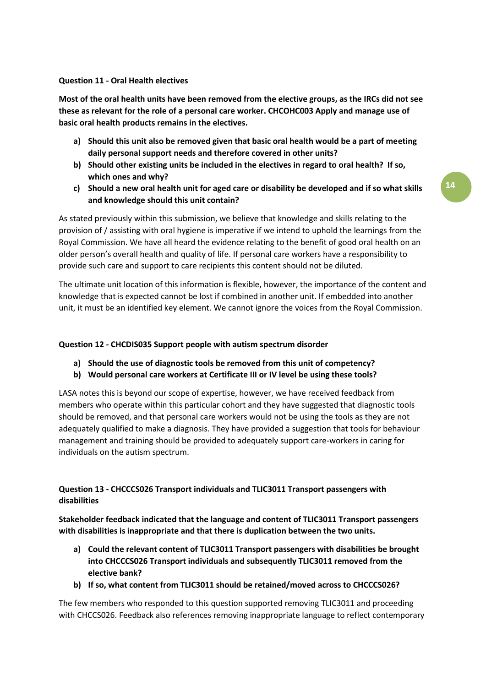#### **Question 11 - Oral Health electives**

**Most of the oral health units have been removed from the elective groups, as the IRCs did not see these as relevant for the role of a personal care worker. CHCOHC003 Apply and manage use of basic oral health products remains in the electives.**

- **a) Should this unit also be removed given that basic oral health would be a part of meeting daily personal support needs and therefore covered in other units?**
- **b) Should other existing units be included in the electives in regard to oral health? If so, which ones and why?**
- **c) Should a new oral health unit for aged care or disability be developed and if so what skills and knowledge should this unit contain?**

As stated previously within this submission, we believe that knowledge and skills relating to the provision of / assisting with oral hygiene is imperative if we intend to uphold the learnings from the Royal Commission. We have all heard the evidence relating to the benefit of good oral health on an older person's overall health and quality of life. If personal care workers have a responsibility to provide such care and support to care recipients this content should not be diluted.

The ultimate unit location of this information is flexible, however, the importance of the content and knowledge that is expected cannot be lost if combined in another unit. If embedded into another unit, it must be an identified key element. We cannot ignore the voices from the Royal Commission.

#### **Question 12 - CHCDIS035 Support people with autism spectrum disorder**

- **a) Should the use of diagnostic tools be removed from this unit of competency?**
- **b) Would personal care workers at Certificate III or IV level be using these tools?**

LASA notes this is beyond our scope of expertise, however, we have received feedback from members who operate within this particular cohort and they have suggested that diagnostic tools should be removed, and that personal care workers would not be using the tools as they are not adequately qualified to make a diagnosis. They have provided a suggestion that tools for behaviour management and training should be provided to adequately support care-workers in caring for individuals on the autism spectrum.

#### **Question 13 - CHCCCS026 Transport individuals and TLIC3011 Transport passengers with disabilities**

**Stakeholder feedback indicated that the language and content of TLIC3011 Transport passengers with disabilities is inappropriate and that there is duplication between the two units.** 

- **a) Could the relevant content of TLIC3011 Transport passengers with disabilities be brought into CHCCCS026 Transport individuals and subsequently TLIC3011 removed from the elective bank?**
- **b) If so, what content from TLIC3011 should be retained/moved across to CHCCCS026?**

The few members who responded to this question supported removing TLIC3011 and proceeding with CHCCS026. Feedback also references removing inappropriate language to reflect contemporary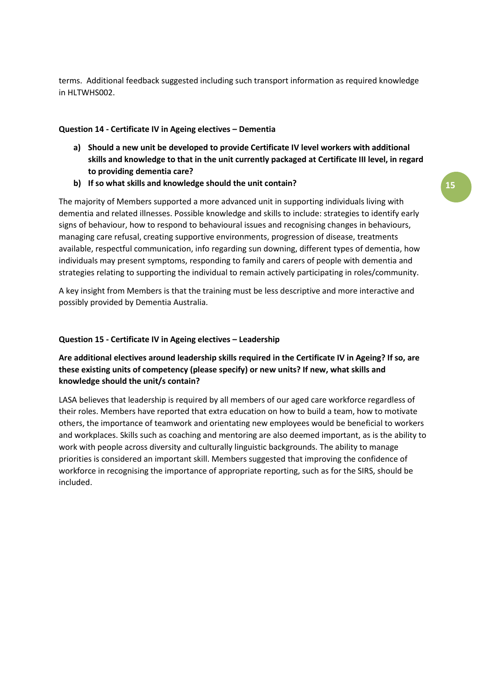**15**

terms. Additional feedback suggested including such transport information as required knowledge in HLTWHS002.

#### **Question 14 - Certificate IV in Ageing electives – Dementia**

- **a) Should a new unit be developed to provide Certificate IV level workers with additional skills and knowledge to that in the unit currently packaged at Certificate III level, in regard to providing dementia care?**
- **b) If so what skills and knowledge should the unit contain?**

The majority of Members supported a more advanced unit in supporting individuals living with dementia and related illnesses. Possible knowledge and skills to include: strategies to identify early signs of behaviour, how to respond to behavioural issues and recognising changes in behaviours, managing care refusal, creating supportive environments, progression of disease, treatments available, respectful communication, info regarding sun downing, different types of dementia, how individuals may present symptoms, responding to family and carers of people with dementia and strategies relating to supporting the individual to remain actively participating in roles/community.

A key insight from Members is that the training must be less descriptive and more interactive and possibly provided by Dementia Australia.

#### **Question 15 - Certificate IV in Ageing electives – Leadership**

#### **Are additional electives around leadership skills required in the Certificate IV in Ageing? If so, are these existing units of competency (please specify) or new units? If new, what skills and knowledge should the unit/s contain?**

LASA believes that leadership is required by all members of our aged care workforce regardless of their roles. Members have reported that extra education on how to build a team, how to motivate others, the importance of teamwork and orientating new employees would be beneficial to workers and workplaces. Skills such as coaching and mentoring are also deemed important, as is the ability to work with people across diversity and culturally linguistic backgrounds. The ability to manage priorities is considered an important skill. Members suggested that improving the confidence of workforce in recognising the importance of appropriate reporting, such as for the SIRS, should be included.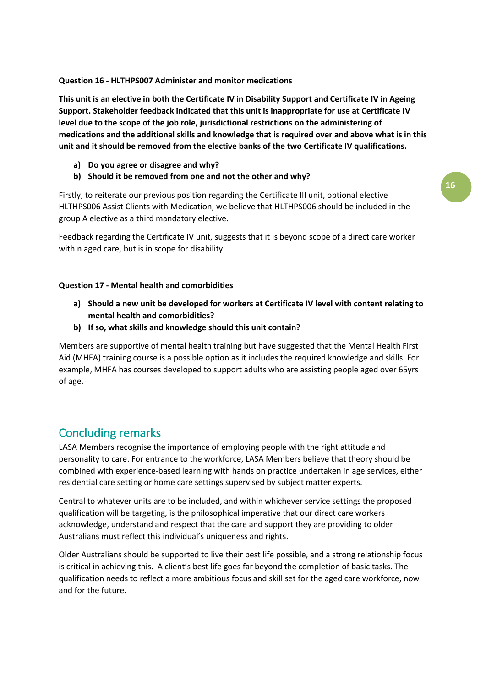#### **Question 16 - HLTHPS007 Administer and monitor medications**

**This unit is an elective in both the Certificate IV in Disability Support and Certificate IV in Ageing Support. Stakeholder feedback indicated that this unit is inappropriate for use at Certificate IV level due to the scope of the job role, jurisdictional restrictions on the administering of medications and the additional skills and knowledge that is required over and above what is in this unit and it should be removed from the elective banks of the two Certificate IV qualifications.** 

- **a) Do you agree or disagree and why?**
- **b) Should it be removed from one and not the other and why?**

Firstly, to reiterate our previous position regarding the Certificate III unit, optional elective HLTHPS006 Assist Clients with Medication, we believe that HLTHPS006 should be included in the group A elective as a third mandatory elective.

Feedback regarding the Certificate IV unit, suggests that it is beyond scope of a direct care worker within aged care, but is in scope for disability.

#### **Question 17 - Mental health and comorbidities**

- **a) Should a new unit be developed for workers at Certificate IV level with content relating to mental health and comorbidities?**
- **b) If so, what skills and knowledge should this unit contain?**

Members are supportive of mental health training but have suggested that the Mental Health First Aid (MHFA) training course is a possible option as it includes the required knowledge and skills. For example, MHFA has courses developed to support adults who are assisting people aged over 65yrs of age.

### Concluding remarks

LASA Members recognise the importance of employing people with the right attitude and personality to care. For entrance to the workforce, LASA Members believe that theory should be combined with experience-based learning with hands on practice undertaken in age services, either residential care setting or home care settings supervised by subject matter experts.

Central to whatever units are to be included, and within whichever service settings the proposed qualification will be targeting, is the philosophical imperative that our direct care workers acknowledge, understand and respect that the care and support they are providing to older Australians must reflect this individual's uniqueness and rights.

Older Australians should be supported to live their best life possible, and a strong relationship focus is critical in achieving this. A client's best life goes far beyond the completion of basic tasks. The qualification needs to reflect a more ambitious focus and skill set for the aged care workforce, now and for the future.